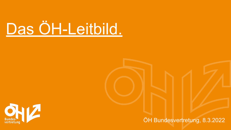# Das ÖH-Leitbild.



ÖH Bundesvertretung, 8.3.2022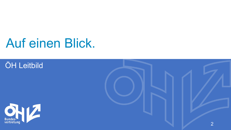## Auf einen Blick.

### ÖH Leitbild



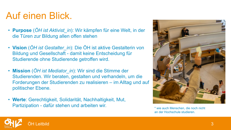## Auf einen Blick.

- **Purpose** (*ÖH ist Aktivist\_in*): Wir kämpfen für eine Welt, in der die Türen zur Bildung allen offen stehen
- **Vision** (*ÖH ist Gestalter\_in*): Die ÖH ist aktive Gestalterin von Bildung und Gesellschaft - damit keine Entscheidung für Studierende ohne Studierende getroffen wird.
- **Mission** (*ÖH ist Mediator\_in*): Wir sind die Stimme der Studierenden. Wir beraten, gestalten und verhandeln, um die Forderungen der Studierenden zu realisieren – im Alltag und auf politischer Ebene.
- **Werte**: Gerechtigkeit, Solidarität, Nachhaltigkeit, Mut, Partizipation - dafür stehen und arbeiten wir.



\* wie auch Menschen, die noch nicht an der Hochschule studieren.

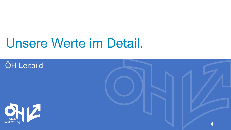# Unsere Werte im Detail.

### ÖH Leitbild



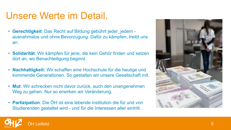### Unsere Werte im Detail.

- **Gerechtigkeit**: Das Recht auf Bildung gebührt jeder\_jedem ausnahmslos und ohne Bevorzugung. Dafür zu kämpfen, treibt uns an.
- **Solidarität**: Wir kämpfen für jene, die kein Gehör finden und setzen dort an, wo Benachteiligung beginnt.
- **Nachhaltigkeit:** Wir schaffen eine Hochschule für die heutige und kommende Generationen. So gestalten wir unsere Gesellschaft mit.
- **Mut**: Wir schrecken nicht davor zurück, auch den unangenehmen Weg zu gehen. Nur so erwirken wir Veränderung.
- **Partizipation**: Die ÖH ist eine lebende Institution die für und von Studierenden gestaltet wird - und für die Interessen aller eintritt.



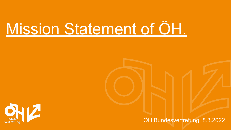# Mission Statement of ÖH.



ÖH Bundesvertretung, 8.3.2022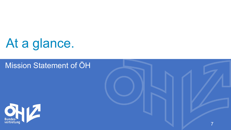# At a glance.

#### Mission Statement of ÖH



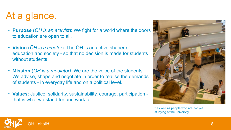## At a glance.

- **Purpose** (*ÖH is an activist*): We fight for a world where the doors to education are open to all.
- **Vision** (*ÖH is a creator*): The ÖH is an active shaper of education and society - so that no decision is made for students without students.
- **Mission** (*ÖH is a mediator)*: We are the voice of the students. We advise, shape and negotiate in order to realise the demands of students - in everyday life and on a political level.
- **Values**: Justice, solidarity, sustainability, courage, participation that is what we stand for and work for.



\* as well as people who are not yet studying at the university.

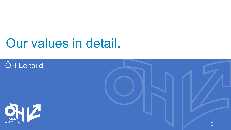# Our values in detail.

### **ÖH Leitbild**



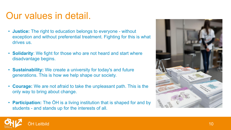### Our values in detail.

- **Justice:** The right to education belongs to everyone without exception and without preferential treatment. Fighting for this is what drives us.
- **Solidarity**: We fight for those who are not heard and start where disadvantage begins.
- **Sustainability:** We create a university for today's and future generations. This is how we help shape our society.
- **Courage:** We are not afraid to take the unpleasant path. This is the only way to bring about change.
- **Participation:** The ÖH is a living institution that is shaped for and by students - and stands up for the interests of all.